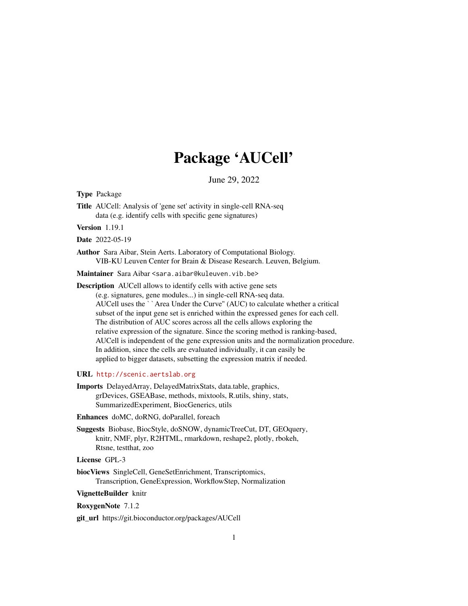## Package 'AUCell'

June 29, 2022

<span id="page-0-0"></span>Type Package

Title AUCell: Analysis of 'gene set' activity in single-cell RNA-seq data (e.g. identify cells with specific gene signatures)

Version 1.19.1

Date 2022-05-19

Author Sara Aibar, Stein Aerts. Laboratory of Computational Biology. VIB-KU Leuven Center for Brain & Disease Research. Leuven, Belgium.

Maintainer Sara Aibar <sara.aibar@kuleuven.vib.be>

Description AUCell allows to identify cells with active gene sets (e.g. signatures, gene modules...) in single-cell RNA-seq data. AUCell uses the ``Area Under the Curve'' (AUC) to calculate whether a critical subset of the input gene set is enriched within the expressed genes for each cell. The distribution of AUC scores across all the cells allows exploring the relative expression of the signature. Since the scoring method is ranking-based, AUCell is independent of the gene expression units and the normalization procedure. In addition, since the cells are evaluated individually, it can easily be applied to bigger datasets, subsetting the expression matrix if needed.

#### URL <http://scenic.aertslab.org>

Imports DelayedArray, DelayedMatrixStats, data.table, graphics, grDevices, GSEABase, methods, mixtools, R.utils, shiny, stats, SummarizedExperiment, BiocGenerics, utils

Enhances doMC, doRNG, doParallel, foreach

Suggests Biobase, BiocStyle, doSNOW, dynamicTreeCut, DT, GEOquery, knitr, NMF, plyr, R2HTML, rmarkdown, reshape2, plotly, rbokeh, Rtsne, testthat, zoo

License GPL-3

biocViews SingleCell, GeneSetEnrichment, Transcriptomics, Transcription, GeneExpression, WorkflowStep, Normalization

VignetteBuilder knitr

RoxygenNote 7.1.2

git\_url https://git.bioconductor.org/packages/AUCell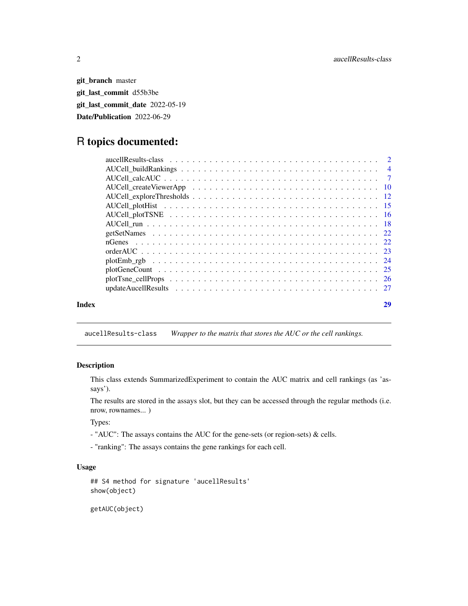<span id="page-1-0"></span>git\_branch master git\_last\_commit d55b3be git\_last\_commit\_date 2022-05-19 Date/Publication 2022-06-29

## R topics documented:

| Index | 29 |
|-------|----|
|       |    |
|       |    |
|       |    |
|       |    |
|       |    |
|       |    |
|       |    |
|       |    |
|       |    |
|       |    |
|       |    |
|       |    |
|       |    |
|       |    |
|       |    |

aucellResults-class *Wrapper to the matrix that stores the AUC or the cell rankings.*

## <span id="page-1-1"></span>Description

This class extends SummarizedExperiment to contain the AUC matrix and cell rankings (as 'assays').

The results are stored in the assays slot, but they can be accessed through the regular methods (i.e. nrow, rownames... )

Types:

- "AUC": The assays contains the AUC for the gene-sets (or region-sets) & cells.
- "ranking": The assays contains the gene rankings for each cell.

## Usage

```
## S4 method for signature 'aucellResults'
show(object)
```
getAUC(object)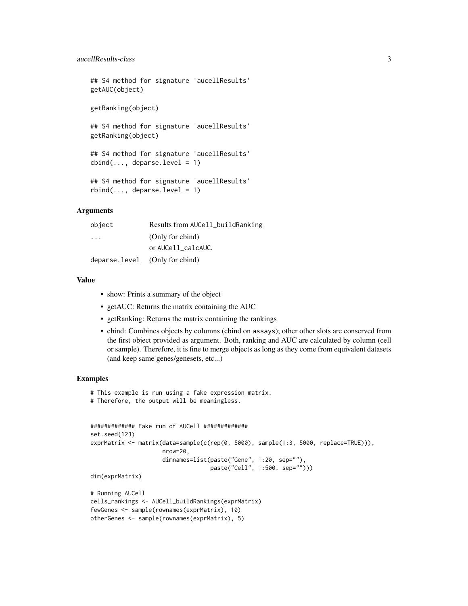#### aucellResults-class 3

## S4 method for signature 'aucellResults' getAUC(object) getRanking(object)

## S4 method for signature 'aucellResults' getRanking(object)

## S4 method for signature 'aucellResults'  $cbind(..., deparse.level = 1)$ 

```
## S4 method for signature 'aucellResults'
rbind(..., deparse.level = 1)
```
## Arguments

| object                          | Results from AUCell_buildRanking |
|---------------------------------|----------------------------------|
| $\cdot$ $\cdot$ $\cdot$         | (Only for cbind)                 |
|                                 | or AUCell calcAUC.               |
| deparse. level (Only for cbind) |                                  |

## Value

- show: Prints a summary of the object
- getAUC: Returns the matrix containing the AUC
- getRanking: Returns the matrix containing the rankings
- cbind: Combines objects by columns (cbind on assays); other other slots are conserved from the first object provided as argument. Both, ranking and AUC are calculated by column (cell or sample). Therefore, it is fine to merge objects as long as they come from equivalent datasets (and keep same genes/genesets, etc...)

```
# This example is run using a fake expression matrix.
# Therefore, the output will be meaningless.
```

```
############# Fake run of AUCell #############
set.seed(123)
exprMatrix <- matrix(data=sample(c(rep(0, 5000), sample(1:3, 5000, replace=TRUE))),
                     nrow=20,
                     dimnames=list(paste("Gene", 1:20, sep=""),
                                   paste("Cell", 1:500, sep="")))
dim(exprMatrix)
```

```
# Running AUCell
cells_rankings <- AUCell_buildRankings(exprMatrix)
fewGenes <- sample(rownames(exprMatrix), 10)
otherGenes <- sample(rownames(exprMatrix), 5)
```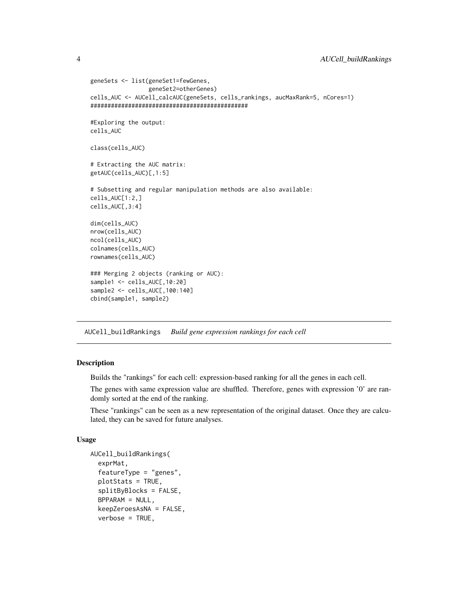```
geneSets <- list(geneSet1=fewGenes,
                 geneSet2=otherGenes)
cells_AUC <- AUCell_calcAUC(geneSets, cells_rankings, aucMaxRank=5, nCores=1)
##############################################
#Exploring the output:
cells_AUC
class(cells_AUC)
# Extracting the AUC matrix:
getAUC(cells_AUC)[,1:5]
# Subsetting and regular manipulation methods are also available:
cells_AUC[1:2,]
cells_AUC[,3:4]
dim(cells_AUC)
nrow(cells_AUC)
ncol(cells_AUC)
colnames(cells_AUC)
rownames(cells_AUC)
### Merging 2 objects (ranking or AUC):
sample1 <- cells_AUC[,10:20]
sample2 <- cells_AUC[,100:140]
cbind(sample1, sample2)
```
<span id="page-3-1"></span>AUCell\_buildRankings *Build gene expression rankings for each cell*

#### **Description**

Builds the "rankings" for each cell: expression-based ranking for all the genes in each cell.

The genes with same expression value are shuffled. Therefore, genes with expression '0' are randomly sorted at the end of the ranking.

These "rankings" can be seen as a new representation of the original dataset. Once they are calculated, they can be saved for future analyses.

#### Usage

```
AUCell_buildRankings(
  exprMat,
  featureType = "genes",
 plotStats = TRUE,
  splitByBlocks = FALSE,
 BPPARAM = NULL,
  keepZeroesAsNA = FALSE,
  verbose = TRUE,
```
<span id="page-3-0"></span>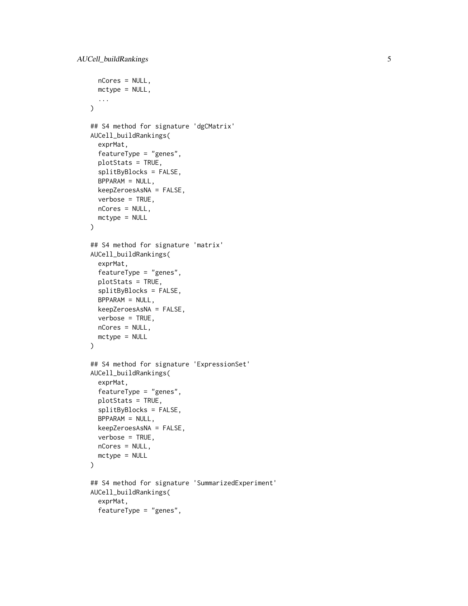```
nCores = NULL,
 mctype = NULL,
  ...
\mathcal{L}## S4 method for signature 'dgCMatrix'
AUCell_buildRankings(
  exprMat,
  featureType = "genes",
  plotStats = TRUE,
  splitByBlocks = FALSE,
  BPPARAM = NULL,
  keepZeroesAsNA = FALSE,
  verbose = TRUE,
 nCores = NULL,
  metype = NULL\mathcal{L}## S4 method for signature 'matrix'
AUCell_buildRankings(
  exprMat,
  featureType = "genes",
  plotStats = TRUE,
  splitByBlocks = FALSE,
  BPPARAM = NULL,
  keepZeroesAsNA = FALSE,
  verbose = TRUE,
 nCores = NULL,
 mctype = NULL
\mathcal{L}## S4 method for signature 'ExpressionSet'
AUCell_buildRankings(
  exprMat,
  featureType = "genes",
 plotStats = TRUE,
  splitByBlocks = FALSE,
  BPPARAM = NULL,
  keepZeroesAsNA = FALSE,
  verbose = TRUE,
  nCores = NULL,
  mctype = NULL
\lambda## S4 method for signature 'SummarizedExperiment'
AUCell_buildRankings(
  exprMat,
  featureType = "genes",
```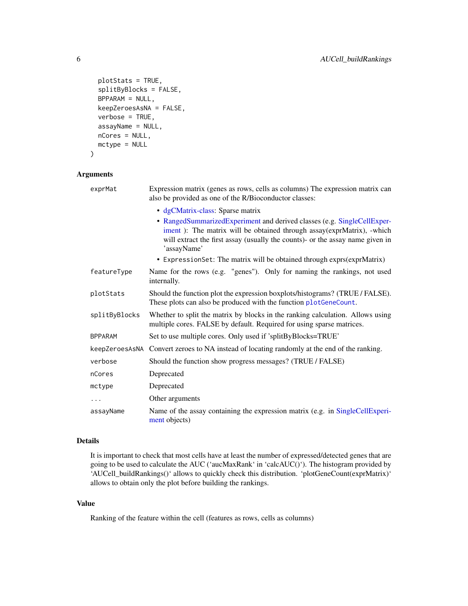```
plotStats = TRUE,
  splitByBlocks = FALSE,
 BPPARAM = NULL,
 keepZeroesAsNA = FALSE,
  verbose = TRUE,
  assayName = NULL,
 nCores = NULL,
 mctype = NULL
)
```

| exprMat        | Expression matrix (genes as rows, cells as columns) The expression matrix can<br>also be provided as one of the R/Bioconductor classes:                                                                                                           |
|----------------|---------------------------------------------------------------------------------------------------------------------------------------------------------------------------------------------------------------------------------------------------|
|                | · dgCMatrix-class: Sparse matrix                                                                                                                                                                                                                  |
|                | • RangedSummarizedExperiment and derived classes (e.g. SingleCellExper-<br>iment ): The matrix will be obtained through assay(exprMatrix), -which<br>will extract the first assay (usually the counts)- or the assay name given in<br>'assayName' |
|                | • Expression Set: The matrix will be obtained through exprs(exprMatrix)                                                                                                                                                                           |
| featureType    | Name for the rows (e.g. "genes"). Only for naming the rankings, not used<br>internally.                                                                                                                                                           |
| plotStats      | Should the function plot the expression boxplots/histograms? (TRUE / FALSE).<br>These plots can also be produced with the function plotGeneCount.                                                                                                 |
| splitByBlocks  | Whether to split the matrix by blocks in the ranking calculation. Allows using<br>multiple cores. FALSE by default. Required for using sparse matrices.                                                                                           |
| <b>BPPARAM</b> | Set to use multiple cores. Only used if 'splitByBlocks=TRUE'                                                                                                                                                                                      |
|                | keepZeroesAsNA Convert zeroes to NA instead of locating randomly at the end of the ranking.                                                                                                                                                       |
| verbose        | Should the function show progress messages? (TRUE / FALSE)                                                                                                                                                                                        |
| nCores         | Deprecated                                                                                                                                                                                                                                        |
| mctype         | Deprecated                                                                                                                                                                                                                                        |
| .              | Other arguments                                                                                                                                                                                                                                   |
| assayName      | Name of the assay containing the expression matrix (e.g. in SingleCellExperi-<br>ment objects)                                                                                                                                                    |

#### Details

It is important to check that most cells have at least the number of expressed/detected genes that are going to be used to calculate the AUC ('aucMaxRank' in 'calcAUC()'). The histogram provided by 'AUCell\_buildRankings()' allows to quickly check this distribution. 'plotGeneCount(exprMatrix)' allows to obtain only the plot before building the rankings.

## Value

Ranking of the feature within the cell (features as rows, cells as columns)

<span id="page-5-0"></span>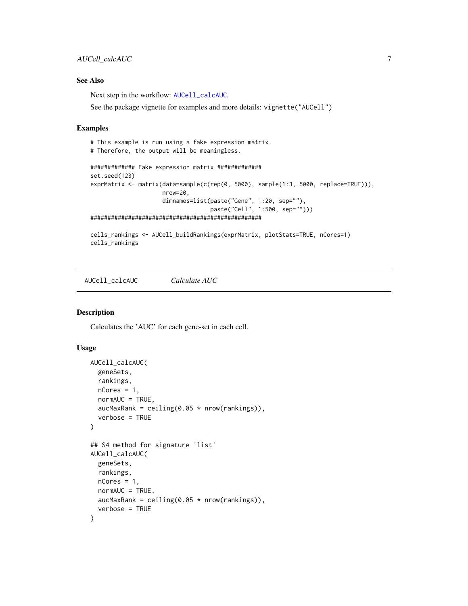## <span id="page-6-0"></span>AUCell\_calcAUC 7

## See Also

Next step in the workflow: [AUCell\\_calcAUC](#page-6-1).

See the package vignette for examples and more details: vignette("AUCell")

#### Examples

```
# This example is run using a fake expression matrix.
# Therefore, the output will be meaningless.
############# Fake expression matrix #############
set.seed(123)
exprMatrix <- matrix(data=sample(c(rep(0, 5000), sample(1:3, 5000, replace=TRUE))),
                     nrow=20,
                     dimnames=list(paste("Gene", 1:20, sep=""),
                                   paste("Cell", 1:500, sep="")))
##################################################
cells_rankings <- AUCell_buildRankings(exprMatrix, plotStats=TRUE, nCores=1)
cells_rankings
```
<span id="page-6-1"></span>AUCell\_calcAUC *Calculate AUC*

#### Description

Calculates the 'AUC' for each gene-set in each cell.

#### Usage

```
AUCell_calcAUC(
  geneSets,
  rankings,
  nCores = 1,
  normAUC = TRUE,
  aucMaxRank = ceiling(0.05 * now(rankings)),verbose = TRUE
)
## S4 method for signature 'list'
AUCell_calcAUC(
  geneSets,
  rankings,
 nCores = 1,
  normAUC = TRUE,
  aucMaxRank = ceiling(0.05 * nrow(rankings)),
  verbose = TRUE
)
```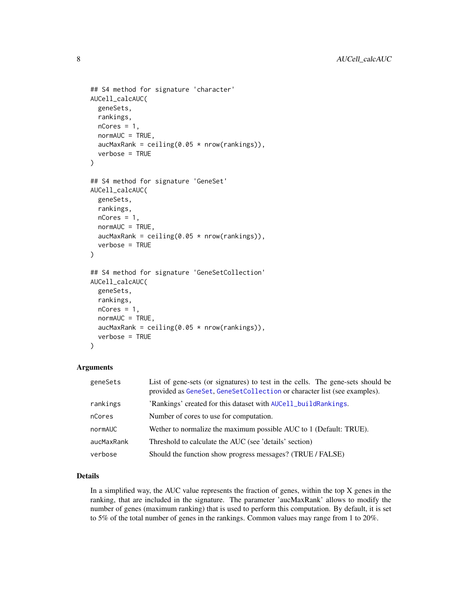```
## S4 method for signature 'character'
AUCell_calcAUC(
  geneSets,
  rankings,
 nCores = 1,
  normAUC = TRUE,
  aucMaxRank = ceiling(0.05 * now(rankings)),verbose = TRUE
)
## S4 method for signature 'GeneSet'
AUCell_calcAUC(
  geneSets,
 rankings,
  nCores = 1,
  normAUC = TRUE,
  aucMaxRank = ceiling(0.05 * new(rankings)),
  verbose = TRUE
\lambda## S4 method for signature 'GeneSetCollection'
AUCell_calcAUC(
  geneSets,
  rankings,
  nCores = 1,
  normAUC = TRUE,aucMaxRank = ceiling(0.05 * new(rankings)),verbose = TRUE
)
```

| geneSets   | List of gene-sets (or signatures) to test in the cells. The gene-sets should be<br>provided as GeneSet, GeneSetCollection or character list (see examples). |
|------------|-------------------------------------------------------------------------------------------------------------------------------------------------------------|
| rankings   | 'Rankings' created for this dataset with AUCell_buildRankings.                                                                                              |
| nCores     | Number of cores to use for computation.                                                                                                                     |
| normAUC    | Wether to normalize the maximum possible AUC to 1 (Default: TRUE).                                                                                          |
| aucMaxRank | Threshold to calculate the AUC (see 'details' section)                                                                                                      |
| verbose    | Should the function show progress messages? (TRUE / FALSE)                                                                                                  |

#### Details

In a simplified way, the AUC value represents the fraction of genes, within the top  $X$  genes in the ranking, that are included in the signature. The parameter 'aucMaxRank' allows to modify the number of genes (maximum ranking) that is used to perform this computation. By default, it is set to 5% of the total number of genes in the rankings. Common values may range from 1 to 20%.

<span id="page-7-0"></span>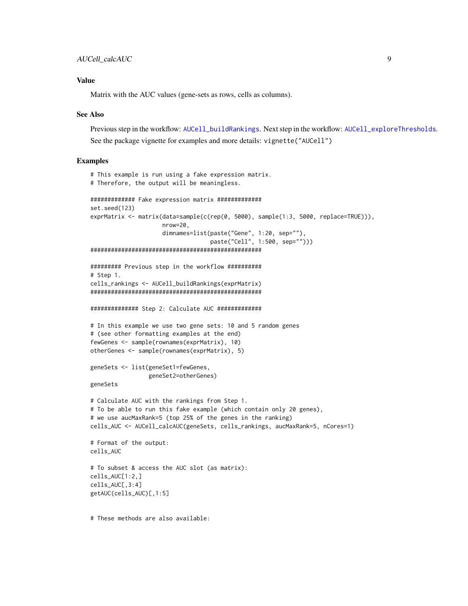#### <span id="page-8-0"></span>Value

Matrix with the AUC values (gene-sets as rows, cells as columns).

#### See Also

Previous step in the workflow: [AUCell\\_buildRankings](#page-3-1). Next step in the workflow: [AUCell\\_exploreThresholds](#page-11-1). See the package vignette for examples and more details: vignette("AUCell")

#### Examples

```
# This example is run using a fake expression matrix.
# Therefore, the output will be meaningless.
############# Fake expression matrix #############
set.seed(123)
exprMatrix <- matrix(data=sample(c(rep(0, 5000), sample(1:3, 5000, replace=TRUE))),
                     nrow=20,
                     dimnames=list(paste("Gene", 1:20, sep=""),
                                   paste("Cell", 1:500, sep="")))
##################################################
######### Previous step in the workflow ##########
# Step 1.
cells_rankings <- AUCell_buildRankings(exprMatrix)
##################################################
############## Step 2: Calculate AUC #############
# In this example we use two gene sets: 10 and 5 random genes
# (see other formatting examples at the end)
fewGenes <- sample(rownames(exprMatrix), 10)
otherGenes <- sample(rownames(exprMatrix), 5)
geneSets <- list(geneSet1=fewGenes,
                 geneSet2=otherGenes)
geneSets
# Calculate AUC with the rankings from Step 1.
# To be able to run this fake example (which contain only 20 genes),
# we use aucMaxRank=5 (top 25% of the genes in the ranking)
cells_AUC <- AUCell_calcAUC(geneSets, cells_rankings, aucMaxRank=5, nCores=1)
# Format of the output:
cells_AUC
# To subset & access the AUC slot (as matrix):
cells_AUC[1:2,]
cells_AUC[,3:4]
getAUC(cells_AUC)[,1:5]
```
# These methods are also available: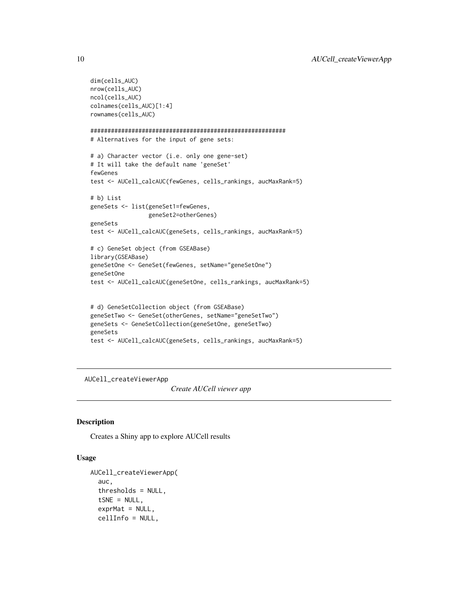```
dim(cells_AUC)
nrow(cells_AUC)
ncol(cells_AUC)
colnames(cells_AUC)[1:4]
rownames(cells_AUC)
#########################################################
# Alternatives for the input of gene sets:
# a) Character vector (i.e. only one gene-set)
# It will take the default name 'geneSet'
fewGenes
test <- AUCell_calcAUC(fewGenes, cells_rankings, aucMaxRank=5)
# b) List
geneSets <- list(geneSet1=fewGenes,
                 geneSet2=otherGenes)
geneSets
test <- AUCell_calcAUC(geneSets, cells_rankings, aucMaxRank=5)
# c) GeneSet object (from GSEABase)
library(GSEABase)
geneSetOne <- GeneSet(fewGenes, setName="geneSetOne")
geneSetOne
test <- AUCell_calcAUC(geneSetOne, cells_rankings, aucMaxRank=5)
# d) GeneSetCollection object (from GSEABase)
geneSetTwo <- GeneSet(otherGenes, setName="geneSetTwo")
geneSets <- GeneSetCollection(geneSetOne, geneSetTwo)
geneSets
test <- AUCell_calcAUC(geneSets, cells_rankings, aucMaxRank=5)
```
AUCell\_createViewerApp

*Create AUCell viewer app*

#### Description

Creates a Shiny app to explore AUCell results

#### Usage

```
AUCell_createViewerApp(
  auc,
  thresholds = NULL,
  tSNE = NULL,exprMat = NULL,cellInfo = NULL,
```
<span id="page-9-0"></span>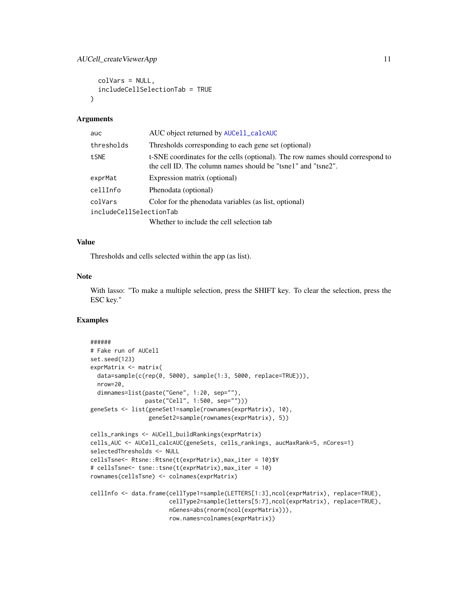```
colVars = NULL,
  includeCellSelectionTab = TRUE
)
```

| auc                     | AUC object returned by AUCell_calcAUC                                                                                                          |
|-------------------------|------------------------------------------------------------------------------------------------------------------------------------------------|
| thresholds              | Thresholds corresponding to each gene set (optional)                                                                                           |
| tSNE                    | t-SNE coordinates for the cells (optional). The row names should correspond to<br>the cell ID. The column names should be "tsne1" and "tsne2". |
| exprMat                 | Expression matrix (optional)                                                                                                                   |
| cellInfo                | Phenodata (optional)                                                                                                                           |
| colVars                 | Color for the phenodata variables (as list, optional)                                                                                          |
| includeCellSelectionTab |                                                                                                                                                |
|                         | Whether to include the cell selection tab                                                                                                      |

#### Value

Thresholds and cells selected within the app (as list).

#### Note

With lasso: "To make a multiple selection, press the SHIFT key. To clear the selection, press the ESC key."

```
######
# Fake run of AUCell
set.seed(123)
exprMatrix <- matrix(
 data=sample(c(rep(0, 5000), sample(1:3, 5000, replace=TRUE))),
 nrow=20,
 dimnames=list(paste("Gene", 1:20, sep=""),
                paste("Cell", 1:500, sep="")))
geneSets <- list(geneSet1=sample(rownames(exprMatrix), 10),
                 geneSet2=sample(rownames(exprMatrix), 5))
cells_rankings <- AUCell_buildRankings(exprMatrix)
cells_AUC <- AUCell_calcAUC(geneSets, cells_rankings, aucMaxRank=5, nCores=1)
selectedThresholds <- NULL
cellsTsne<- Rtsne::Rtsne(t(exprMatrix),max_iter = 10)$Y
# cellsTsne<- tsne::tsne(t(exprMatrix),max_iter = 10)
rownames(cellsTsne) <- colnames(exprMatrix)
cellInfo <- data.frame(cellType1=sample(LETTERS[1:3],ncol(exprMatrix), replace=TRUE),
                       cellType2=sample(letters[5:7],ncol(exprMatrix), replace=TRUE),
                       nGenes=abs(rnorm(ncol(exprMatrix))),
                       row.names=colnames(exprMatrix))
```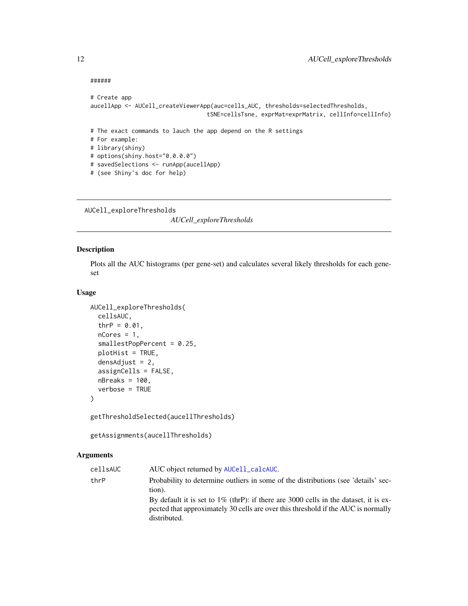#### ######

```
# Create app
aucellApp <- AUCell_createViewerApp(auc=cells_AUC, thresholds=selectedThresholds,
                                  tSNE=cellsTsne, exprMat=exprMatrix, cellInfo=cellInfo)
# The exact commands to lauch the app depend on the R settings
# For example:
# library(shiny)
# options(shiny.host="0.0.0.0")
# savedSelections <- runApp(aucellApp)
# (see Shiny's doc for help)
```
<span id="page-11-1"></span>AUCell\_exploreThresholds

*AUCell\_exploreThresholds*

## Description

Plots all the AUC histograms (per gene-set) and calculates several likely thresholds for each geneset

#### Usage

```
AUCell_exploreThresholds(
  cellsAUC,
  thrP = 0.01,
  nCores = 1,
  smallestPopPercent = 0.25,
  plotHist = TRUE,
  densAdjust = 2,
  assignCells = FALSE,
 nBreaks = 100,
  verbose = TRUE
)
```
getThresholdSelected(aucellThresholds)

getAssignments(aucellThresholds)

## Arguments

| cellsAUC | AUC object returned by AUCell_calcAUC.                                                                                                                                                       |
|----------|----------------------------------------------------------------------------------------------------------------------------------------------------------------------------------------------|
| thrP     | Probability to determine outliers in some of the distributions (see 'details' sec-<br>tion).                                                                                                 |
|          | By default it is set to $1\%$ (thrP): if there are 3000 cells in the dataset, it is ex-<br>pected that approximately 30 cells are over this threshold if the AUC is normally<br>distributed. |

<span id="page-11-0"></span>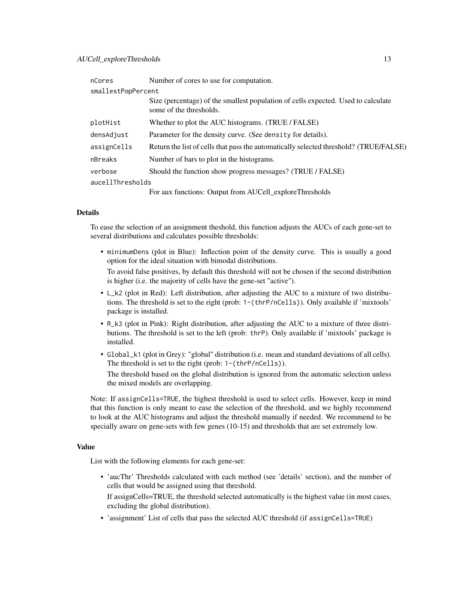#### AUCell\_exploreThresholds 13

| nCores             | Number of cores to use for computation.                                                                      |
|--------------------|--------------------------------------------------------------------------------------------------------------|
| smallestPopPercent |                                                                                                              |
|                    | Size (percentage) of the smallest population of cells expected. Used to calculate<br>some of the thresholds. |
| plotHist           | Whether to plot the AUC histograms. (TRUE / FALSE)                                                           |
| densAdjust         | Parameter for the density curve. (See density for details).                                                  |
| assignCells        | Return the list of cells that pass the automatically selected threshold? (TRUE/FALSE)                        |
| nBreaks            | Number of bars to plot in the histograms.                                                                    |
| verbose            | Should the function show progress messages? (TRUE / FALSE)                                                   |
| aucellThresholds   |                                                                                                              |
|                    | For aux functions: Output from AUCell_exploreThresholds                                                      |

#### Details

To ease the selection of an assignment theshold, this function adjusts the AUCs of each gene-set to several distributions and calculates possible thresholds:

• minimumDens (plot in Blue): Inflection point of the density curve. This is usually a good option for the ideal situation with bimodal distributions.

To avoid false positives, by default this threshold will not be chosen if the second distribution is higher (i.e. the majority of cells have the gene-set "active").

- L\_k2 (plot in Red): Left distribution, after adjusting the AUC to a mixture of two distributions. The threshold is set to the right (prob: 1-(thrP/nCells)). Only available if 'mixtools' package is installed.
- R\_k3 (plot in Pink): Right distribution, after adjusting the AUC to a mixture of three distributions. The threshold is set to the left (prob: thrP). Only available if 'mixtools' package is installed.
- Global\_k1 (plot in Grey): "global" distribution (i.e. mean and standard deviations of all cells). The threshold is set to the right (prob: 1-(thrP/nCells)).

The threshold based on the global distribution is ignored from the automatic selection unless the mixed models are overlapping.

Note: If assignCells=TRUE, the highest threshold is used to select cells. However, keep in mind that this function is only meant to ease the selection of the threshold, and we highly recommend to look at the AUC histograms and adjust the threshold manually if needed. We recommend to be specially aware on gene-sets with few genes (10-15) and thresholds that are set extremely low.

#### Value

List with the following elements for each gene-set:

- 'aucThr' Thresholds calculated with each method (see 'details' section), and the number of cells that would be assigned using that threshold.
	- If assignCells=TRUE, the threshold selected automatically is the highest value (in most cases, excluding the global distribution).
- 'assignment' List of cells that pass the selected AUC threshold (if assignCells=TRUE)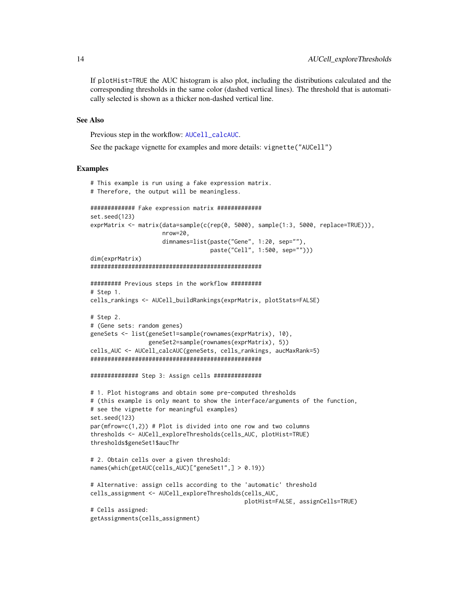<span id="page-13-0"></span>If plotHist=TRUE the AUC histogram is also plot, including the distributions calculated and the corresponding thresholds in the same color (dashed vertical lines). The threshold that is automatically selected is shown as a thicker non-dashed vertical line.

## See Also

Previous step in the workflow: [AUCell\\_calcAUC](#page-6-1).

See the package vignette for examples and more details: vignette("AUCell")

```
# This example is run using a fake expression matrix.
# Therefore, the output will be meaningless.
############# Fake expression matrix #############
set.seed(123)
exprMatrix <- matrix(data=sample(c(rep(0, 5000), sample(1:3, 5000, replace=TRUE))),
                     nrow=20,
                     dimnames=list(paste("Gene", 1:20, sep=""),
                                   paste("Cell", 1:500, sep="")))
dim(exprMatrix)
##################################################
######### Previous steps in the workflow #########
# Step 1.
cells_rankings <- AUCell_buildRankings(exprMatrix, plotStats=FALSE)
# Step 2.
# (Gene sets: random genes)
geneSets <- list(geneSet1=sample(rownames(exprMatrix), 10),
                 geneSet2=sample(rownames(exprMatrix), 5))
cells_AUC <- AUCell_calcAUC(geneSets, cells_rankings, aucMaxRank=5)
##################################################
############## Step 3: Assign cells ##############
# 1. Plot histograms and obtain some pre-computed thresholds
# (this example is only meant to show the interface/arguments of the function,
# see the vignette for meaningful examples)
set.seed(123)
par(mfrow=c(1,2)) # Plot is divided into one row and two columns
thresholds <- AUCell_exploreThresholds(cells_AUC, plotHist=TRUE)
thresholds$geneSet1$aucThr
# 2. Obtain cells over a given threshold:
names(which(getAUC(cells_AUC)["geneSet1",] > 0.19))
# Alternative: assign cells according to the 'automatic' threshold
cells_assignment <- AUCell_exploreThresholds(cells_AUC,
                                             plotHist=FALSE, assignCells=TRUE)
# Cells assigned:
getAssignments(cells_assignment)
```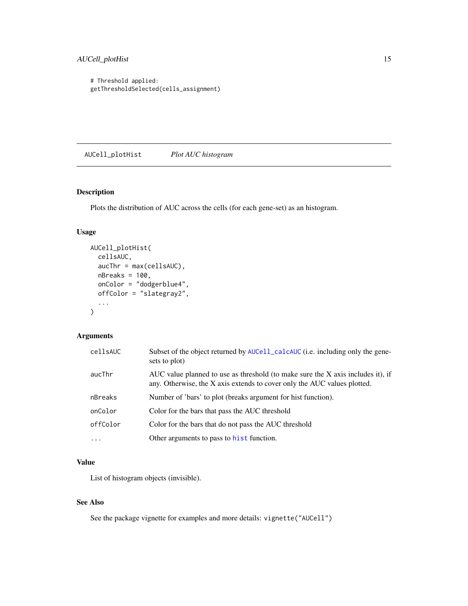## <span id="page-14-0"></span>AUCell\_plotHist 15

# Threshold applied: getThresholdSelected(cells\_assignment)

AUCell\_plotHist *Plot AUC histogram*

## Description

Plots the distribution of AUC across the cells (for each gene-set) as an histogram.

## Usage

```
AUCell_plotHist(
  cellsAUC,
  aucThr = max(cellsAUC),
  nBreaks = 100,onColor = "dodgerblue4",
  offColor = "slategray2",
  ...
)
```
## Arguments

| cellsAUC  | Subset of the object returned by AUCell_calcAUC (i.e. including only the gene-<br>sets to plot)                                                             |
|-----------|-------------------------------------------------------------------------------------------------------------------------------------------------------------|
| aucThr    | AUC value planned to use as threshold (to make sure the X axis includes it), if<br>any. Otherwise, the X axis extends to cover only the AUC values plotted. |
| nBreaks   | Number of 'bars' to plot (breaks argument for hist function).                                                                                               |
| onColor   | Color for the bars that pass the AUC threshold                                                                                                              |
| offColor  | Color for the bars that do not pass the AUC threshold                                                                                                       |
| $\ddotsc$ | Other arguments to pass to hist function.                                                                                                                   |

## Value

List of histogram objects (invisible).

## See Also

See the package vignette for examples and more details: vignette("AUCell")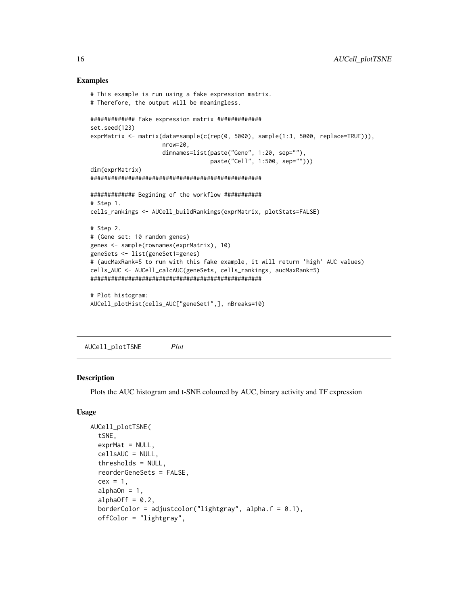#### Examples

```
# This example is run using a fake expression matrix.
# Therefore, the output will be meaningless.
############# Fake expression matrix #############
set.seed(123)
exprMatrix <- matrix(data=sample(c(rep(0, 5000), sample(1:3, 5000, replace=TRUE))),
                     nrow=20,
                     dimnames=list(paste("Gene", 1:20, sep=""),
                                   paste("Cell", 1:500, sep="")))
dim(exprMatrix)
##################################################
############# Begining of the workflow ###########
# Step 1.
cells_rankings <- AUCell_buildRankings(exprMatrix, plotStats=FALSE)
# Step 2.
# (Gene set: 10 random genes)
genes <- sample(rownames(exprMatrix), 10)
geneSets <- list(geneSet1=genes)
# (aucMaxRank=5 to run with this fake example, it will return 'high' AUC values)
cells_AUC <- AUCell_calcAUC(geneSets, cells_rankings, aucMaxRank=5)
##################################################
# Plot histogram:
AUCell_plotHist(cells_AUC["geneSet1",], nBreaks=10)
```
AUCell\_plotTSNE *Plot*

## Description

Plots the AUC histogram and t-SNE coloured by AUC, binary activity and TF expression

#### Usage

```
AUCell_plotTSNE(
  tSNE,
  exprMat = NULL,cellsAUC = NULL,
  thresholds = NULL,
  reorderGeneSets = FALSE,
  cex = 1,
  alphaOn = 1,
  alphaOff = 0.2,
  borderColor = adjustcolor("lightgray", alpha.f = 0.1),
  offColor = "lightgray",
```
<span id="page-15-0"></span>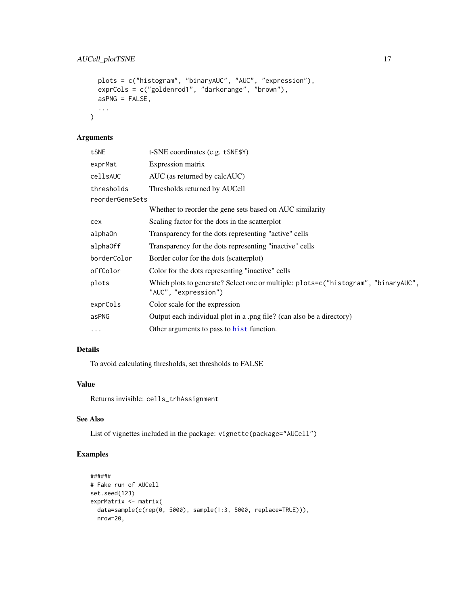```
plots = c("histogram", "binaryAUC", "AUC", "expression"),
 exprCols = c("goldenrod1", "darkorange", "brown"),
 asPNG = FALSE,...
\mathcal{L}
```

| t-SNE coordinates (e.g. tSNE\$Y)                                                                           |
|------------------------------------------------------------------------------------------------------------|
| Expression matrix                                                                                          |
| AUC (as returned by calcAUC)                                                                               |
| Thresholds returned by AUCell                                                                              |
| reorderGeneSets                                                                                            |
| Whether to reorder the gene sets based on AUC similarity                                                   |
| Scaling factor for the dots in the scatterplot                                                             |
| Transparency for the dots representing "active" cells                                                      |
| Transparency for the dots representing "inactive" cells                                                    |
| Border color for the dots (scatterplot)                                                                    |
| Color for the dots representing "inactive" cells                                                           |
| Which plots to generate? Select one or multiple: plots=c("histogram", "binaryAUC",<br>"AUC", "expression") |
| Color scale for the expression                                                                             |
| Output each individual plot in a .png file? (can also be a directory)                                      |
| Other arguments to pass to hist function.                                                                  |
|                                                                                                            |

## Details

To avoid calculating thresholds, set thresholds to FALSE

### Value

Returns invisible: cells\_trhAssignment

## See Also

List of vignettes included in the package: vignette(package="AUCell")

```
######
# Fake run of AUCell
set.seed(123)
exprMatrix <- matrix(
 data=sample(c(rep(0, 5000), sample(1:3, 5000, replace=TRUE))),
 nrow=20,
```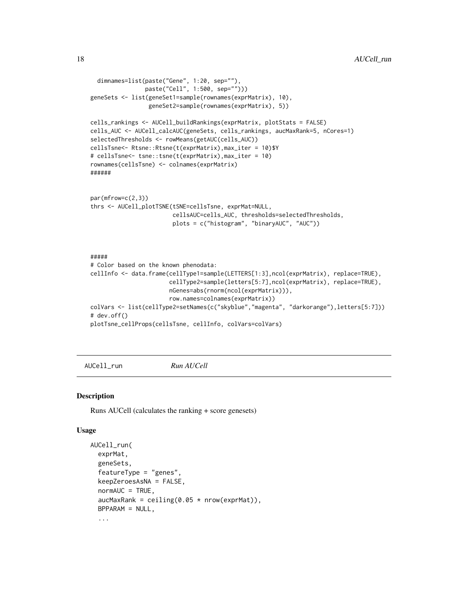```
dimnames=list(paste("Gene", 1:20, sep=""),
                paste("Cell", 1:500, sep="")))
geneSets <- list(geneSet1=sample(rownames(exprMatrix), 10),
                 geneSet2=sample(rownames(exprMatrix), 5))
cells_rankings <- AUCell_buildRankings(exprMatrix, plotStats = FALSE)
cells_AUC <- AUCell_calcAUC(geneSets, cells_rankings, aucMaxRank=5, nCores=1)
selectedThresholds <- rowMeans(getAUC(cells_AUC))
cellsTsne<- Rtsne::Rtsne(t(exprMatrix),max_iter = 10)$Y
# cellsTsne<- tsne::tsne(t(exprMatrix),max_iter = 10)
rownames(cellsTsne) <- colnames(exprMatrix)
######
par(mfrow=c(2,3))
thrs <- AUCell_plotTSNE(tSNE=cellsTsne, exprMat=NULL,
                        cellsAUC=cells_AUC, thresholds=selectedThresholds,
                        plots = c("histogram", "binaryAUC", "AUC"))
#####
# Color based on the known phenodata:
cellInfo <- data.frame(cellType1=sample(LETTERS[1:3],ncol(exprMatrix), replace=TRUE),
                       cellType2=sample(letters[5:7],ncol(exprMatrix), replace=TRUE),
```

```
nGenes=abs(rnorm(ncol(exprMatrix))),
                       row.names=colnames(exprMatrix))
colVars <- list(cellType2=setNames(c("skyblue","magenta", "darkorange"),letters[5:7]))
# dev.off()
plotTsne_cellProps(cellsTsne, cellInfo, colVars=colVars)
```
AUCell\_run *Run AUCell*

#### Description

Runs AUCell (calculates the ranking + score genesets)

#### Usage

```
AUCell_run(
  exprMat,
  geneSets,
  featureType = "genes",
  keepZeroesAsNA = FALSE,
  normAUC = TRUE,aucMaxRank = ceiling(0.05 * nrow(expMat)),BPPARAM = NULL,
  ...
```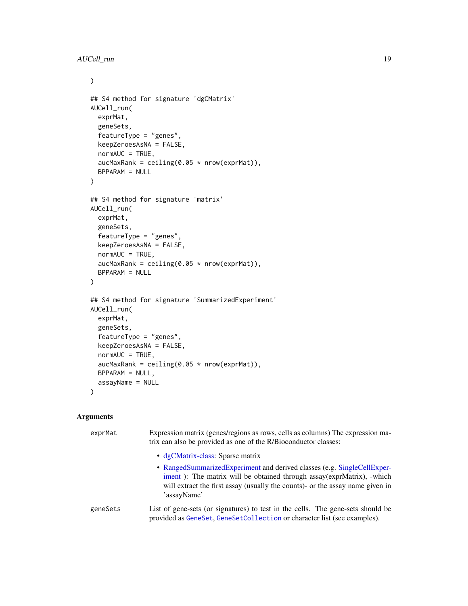```
\mathcal{L}## S4 method for signature 'dgCMatrix'
AUCell_run(
  exprMat,
  geneSets,
  featureType = "genes",
  keepZeroesAsNA = FALSE,
  normAUC = TRUE,aucMaxRank = ceiling(0.05 * now(expMat)),BPPARAM = NULL
\mathcal{L}## S4 method for signature 'matrix'
AUCell_run(
  exprMat,
  geneSets,
  featureType = "genes",
  keepZeroesAsNA = FALSE,
  normAUC = TRUE,aucMaxRank = ceiling(0.05 * nrow(expMat)),BPPARAM = NULL
\mathcal{L}## S4 method for signature 'SummarizedExperiment'
AUCell_run(
  exprMat,
  geneSets,
  featureType = "genes",
  keepZeroesAsNA = FALSE,
  normAUC = TRUE,aucMaxRank = ceiling(0.05 * now(expMat)),BPPARAM = NULL,
  assayName = NULL
\mathcal{L}
```

| exprMat  | Expression matrix (genes/regions as rows, cells as columns) The expression ma-<br>trix can also be provided as one of the R/Bioconductor classes:                                                                                                |
|----------|--------------------------------------------------------------------------------------------------------------------------------------------------------------------------------------------------------------------------------------------------|
|          | • dgCMatrix-class: Sparse matrix                                                                                                                                                                                                                 |
|          | • RangedSummarizedExperiment and derived classes (e.g. SingleCellExper-<br>iment): The matrix will be obtained through assay(exprMatrix), -which<br>will extract the first assay (usually the counts)- or the assay name given in<br>'assayName' |
| geneSets | List of gene-sets (or signatures) to test in the cells. The gene-sets should be<br>provided as GeneSet, GeneSetCollection or character list (see examples).                                                                                      |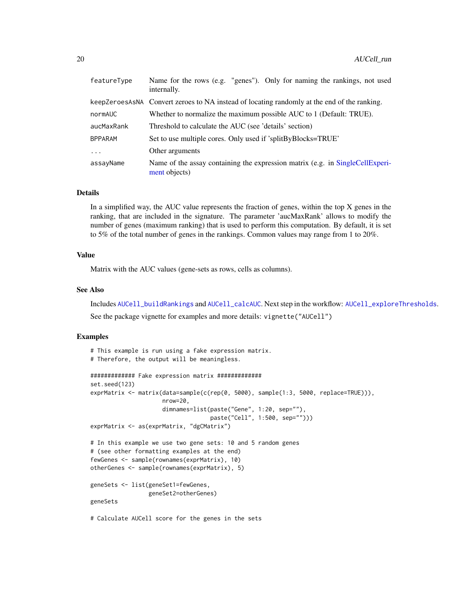<span id="page-19-0"></span>

| featureType    | Name for the rows (e.g. "genes"). Only for naming the rankings, not used<br>internally.        |
|----------------|------------------------------------------------------------------------------------------------|
|                | keepZeroesAsNA Convert zeroes to NA instead of locating randomly at the end of the ranking.    |
| normAUC        | Whether to normalize the maximum possible AUC to 1 (Default: TRUE).                            |
| aucMaxRank     | Threshold to calculate the AUC (see 'details' section)                                         |
| <b>BPPARAM</b> | Set to use multiple cores. Only used if 'splitByBlocks=TRUE'                                   |
| $\ddots$ .     | Other arguments                                                                                |
| assayName      | Name of the assay containing the expression matrix (e.g. in SingleCellExperi-<br>ment objects) |

#### Details

In a simplified way, the AUC value represents the fraction of genes, within the top X genes in the ranking, that are included in the signature. The parameter 'aucMaxRank' allows to modify the number of genes (maximum ranking) that is used to perform this computation. By default, it is set to 5% of the total number of genes in the rankings. Common values may range from 1 to 20%.

#### Value

Matrix with the AUC values (gene-sets as rows, cells as columns).

## See Also

Includes [AUCell\\_buildRankings](#page-3-1) and [AUCell\\_calcAUC](#page-6-1). Next step in the workflow: [AUCell\\_exploreThresholds](#page-11-1). See the package vignette for examples and more details: vignette("AUCell")

```
# This example is run using a fake expression matrix.
# Therefore, the output will be meaningless.
############# Fake expression matrix #############
set.seed(123)
exprMatrix <- matrix(data=sample(c(rep(0, 5000), sample(1:3, 5000, replace=TRUE))),
                     nrow=20,
                     dimnames=list(paste("Gene", 1:20, sep=""),
                                   paste("Cell", 1:500, sep="")))
exprMatrix <- as(exprMatrix, "dgCMatrix")
# In this example we use two gene sets: 10 and 5 random genes
# (see other formatting examples at the end)
fewGenes <- sample(rownames(exprMatrix), 10)
otherGenes <- sample(rownames(exprMatrix), 5)
geneSets <- list(geneSet1=fewGenes,
                 geneSet2=otherGenes)
geneSets
# Calculate AUCell score for the genes in the sets
```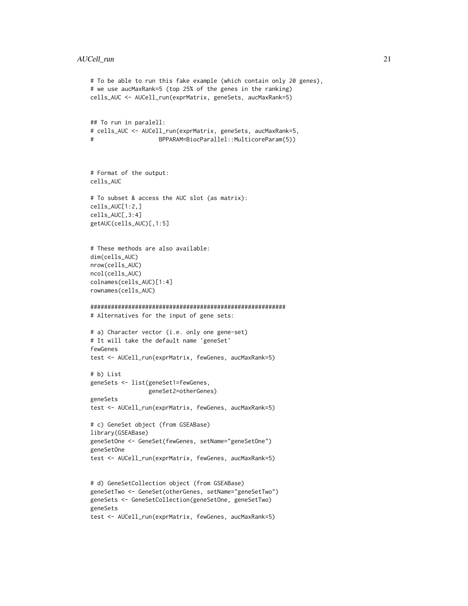```
# To be able to run this fake example (which contain only 20 genes),
# we use aucMaxRank=5 (top 25% of the genes in the ranking)
cells_AUC <- AUCell_run(exprMatrix, geneSets, aucMaxRank=5)
## To run in paralell:
# cells_AUC <- AUCell_run(exprMatrix, geneSets, aucMaxRank=5,
# BPPARAM=BiocParallel::MulticoreParam(5))
# Format of the output:
cells_AUC
# To subset & access the AUC slot (as matrix):
cells_AUC[1:2,]
cells_AUC[,3:4]
getAUC(cells_AUC)[,1:5]
# These methods are also available:
dim(cells_AUC)
nrow(cells_AUC)
ncol(cells_AUC)
colnames(cells_AUC)[1:4]
rownames(cells_AUC)
#########################################################
# Alternatives for the input of gene sets:
# a) Character vector (i.e. only one gene-set)
# It will take the default name 'geneSet'
fewGenes
test <- AUCell_run(exprMatrix, fewGenes, aucMaxRank=5)
# b) List
geneSets <- list(geneSet1=fewGenes,
                 geneSet2=otherGenes)
geneSets
test <- AUCell_run(exprMatrix, fewGenes, aucMaxRank=5)
# c) GeneSet object (from GSEABase)
library(GSEABase)
geneSetOne <- GeneSet(fewGenes, setName="geneSetOne")
geneSetOne
test <- AUCell_run(exprMatrix, fewGenes, aucMaxRank=5)
# d) GeneSetCollection object (from GSEABase)
geneSetTwo <- GeneSet(otherGenes, setName="geneSetTwo")
geneSets <- GeneSetCollection(geneSetOne, geneSetTwo)
geneSets
test <- AUCell_run(exprMatrix, fewGenes, aucMaxRank=5)
```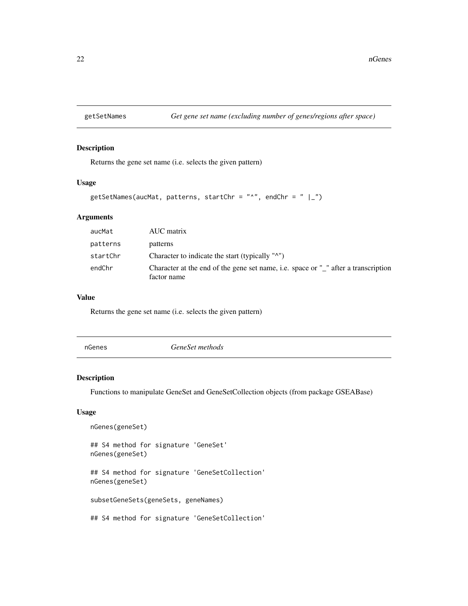<span id="page-21-0"></span>

## Description

Returns the gene set name (i.e. selects the given pattern)

#### Usage

```
getSetNames(aucMat, patterns, startChr = "^", endChr = " |-")
```
## Arguments

| aucMat   | AUC matrix                                                                                        |
|----------|---------------------------------------------------------------------------------------------------|
| patterns | patterns                                                                                          |
| startChr | Character to indicate the start (typically "^")                                                   |
| endChr   | Character at the end of the gene set name, i.e. space or "_" after a transcription<br>factor name |

#### Value

Returns the gene set name (i.e. selects the given pattern)

GeneSet methods

## Description

Functions to manipulate GeneSet and GeneSetCollection objects (from package GSEABase)

## Usage

nGenes(geneSet) ## S4 method for signature 'GeneSet' nGenes(geneSet) ## S4 method for signature 'GeneSetCollection' nGenes(geneSet) subsetGeneSets(geneSets, geneNames) ## S4 method for signature 'GeneSetCollection'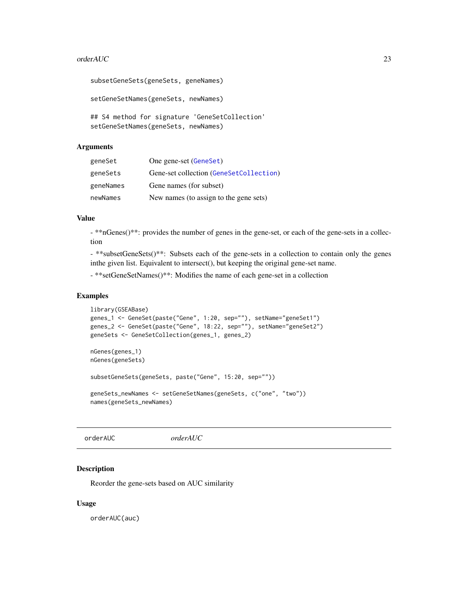#### <span id="page-22-0"></span>orderAUC 23

```
subsetGeneSets(geneSets, geneNames)
setGeneSetNames(geneSets, newNames)
## S4 method for signature 'GeneSetCollection'
setGeneSetNames(geneSets, newNames)
```
#### Arguments

| geneSet   | One gene-set (GeneSet)                  |
|-----------|-----------------------------------------|
| geneSets  | Gene-set collection (GeneSetCollection) |
| geneNames | Gene names (for subset)                 |
| newNames  | New names (to assign to the gene sets)  |

## Value

- \*\*nGenes()\*\*: provides the number of genes in the gene-set, or each of the gene-sets in a collection

- \*\*subsetGeneSets()\*\*: Subsets each of the gene-sets in a collection to contain only the genes inthe given list. Equivalent to intersect(), but keeping the original gene-set name.

- \*\*setGeneSetNames()\*\*: Modifies the name of each gene-set in a collection

#### Examples

```
library(GSEABase)
genes_1 <- GeneSet(paste("Gene", 1:20, sep=""), setName="geneSet1")
genes_2 <- GeneSet(paste("Gene", 18:22, sep=""), setName="geneSet2")
geneSets <- GeneSetCollection(genes_1, genes_2)
nGenes(genes_1)
nGenes(geneSets)
subsetGeneSets(geneSets, paste("Gene", 15:20, sep=""))
```

```
geneSets_newNames <- setGeneSetNames(geneSets, c("one", "two"))
names(geneSets_newNames)
```
orderAUC *orderAUC*

#### Description

Reorder the gene-sets based on AUC similarity

#### Usage

orderAUC(auc)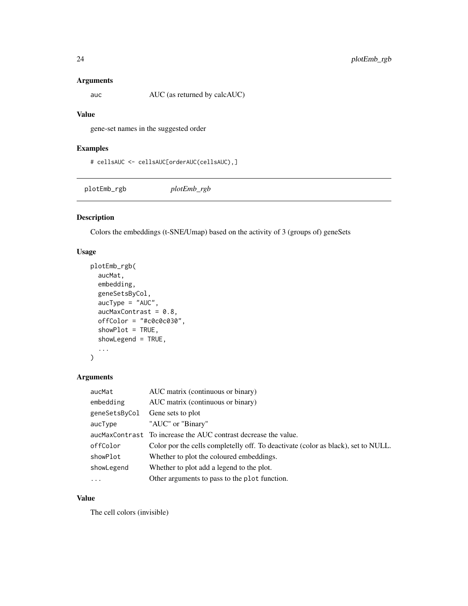<span id="page-23-0"></span>

auc AUC (as returned by calcAUC)

## Value

gene-set names in the suggested order

## Examples

```
# cellsAUC <- cellsAUC[orderAUC(cellsAUC),]
```
plotEmb\_rgb *plotEmb\_rgb*

## Description

Colors the embeddings (t-SNE/Umap) based on the activity of 3 (groups of) geneSets

## Usage

```
plotEmb_rgb(
  aucMat,
  embedding,
 geneSetsByCol,
 aucType = "AUC",
  aucMaxContrast = 0.8,offColor = "#c0c0c030",
  showPlot = TRUE,
  showLegend = TRUE,
  ...
\mathcal{L}
```
#### Arguments

| aucMat        | AUC matrix (continuous or binary)                                                 |
|---------------|-----------------------------------------------------------------------------------|
| embedding     | AUC matrix (continuous or binary)                                                 |
| geneSetsByCol | Gene sets to plot                                                                 |
| aucType       | "AUC" or "Binary"                                                                 |
|               | aucMaxContrast To increase the AUC contrast decrease the value.                   |
| offColor      | Color por the cells completelly off. To deactivate (color as black), set to NULL. |
| showPlot      | Whether to plot the coloured embeddings.                                          |
| showLegend    | Whether to plot add a legend to the plot.                                         |
| $\ddotsc$     | Other arguments to pass to the plot function.                                     |

## Value

The cell colors (invisible)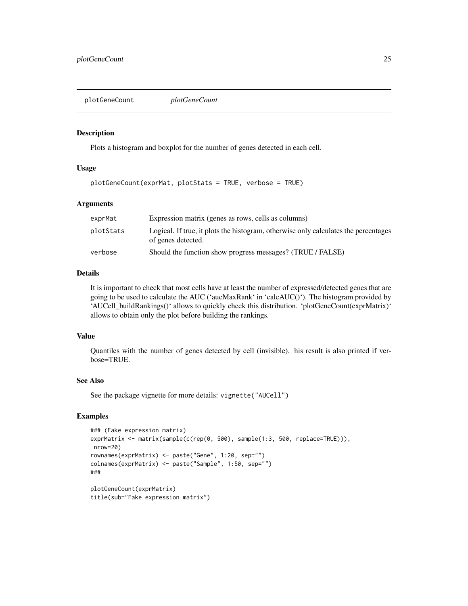<span id="page-24-1"></span><span id="page-24-0"></span>plotGeneCount *plotGeneCount*

#### Description

Plots a histogram and boxplot for the number of genes detected in each cell.

## Usage

```
plotGeneCount(exprMat, plotStats = TRUE, verbose = TRUE)
```
#### Arguments

| exprMat   | Expression matrix (genes as rows, cells as columns)                                                       |
|-----------|-----------------------------------------------------------------------------------------------------------|
| plotStats | Logical. If true, it plots the histogram, otherwise only calculates the percentages<br>of genes detected. |
| verbose   | Should the function show progress messages? (TRUE / FALSE)                                                |

## Details

It is important to check that most cells have at least the number of expressed/detected genes that are going to be used to calculate the AUC ('aucMaxRank' in 'calcAUC()'). The histogram provided by 'AUCell\_buildRankings()' allows to quickly check this distribution. 'plotGeneCount(exprMatrix)' allows to obtain only the plot before building the rankings.

#### Value

Quantiles with the number of genes detected by cell (invisible). his result is also printed if verbose=TRUE.

#### See Also

See the package vignette for more details: vignette("AUCell")

```
### (Fake expression matrix)
exprMatrix <- matrix(sample(c(rep(0, 500), sample(1:3, 500, replace=TRUE))),
nrow=20)
rownames(exprMatrix) <- paste("Gene", 1:20, sep="")
colnames(exprMatrix) <- paste("Sample", 1:50, sep="")
###
plotGeneCount(exprMatrix)
title(sub="Fake expression matrix")
```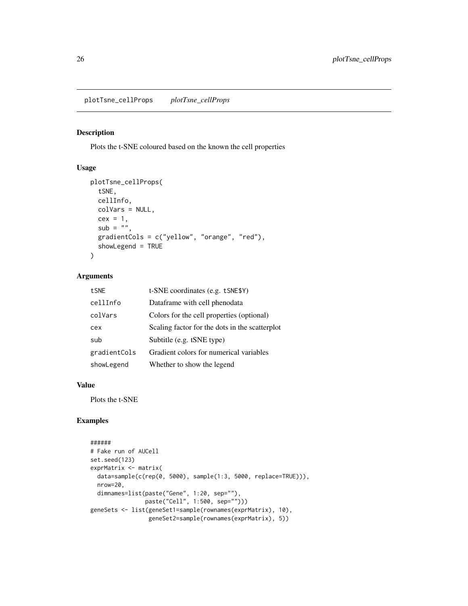<span id="page-25-0"></span>plotTsne\_cellProps *plotTsne\_cellProps*

## Description

Plots the t-SNE coloured based on the known the cell properties

## Usage

```
plotTsne_cellProps(
  tSNE,
  cellInfo,
  colVars = NULL,
  cex = 1,
  sub = "",
  gradientCols = c("yellow", "orange", "red"),
  showLegend = TRUE
)
```
#### Arguments

| tSNE         | t-SNE coordinates (e.g. tSNE\$Y)               |
|--------------|------------------------------------------------|
| cellInfo     | Dataframe with cell phenodata                  |
| colVars      | Colors for the cell properties (optional)      |
| cex          | Scaling factor for the dots in the scatterplot |
| sub          | Subtitle (e.g. tSNE type)                      |
| gradientCols | Gradient colors for numerical variables        |
| showLegend   | Whether to show the legend                     |

#### Value

Plots the t-SNE

```
######
# Fake run of AUCell
set.seed(123)
exprMatrix <- matrix(
  data=sample(c(rep(0, 5000), sample(1:3, 5000, replace=TRUE))),
  nrow=20,
  dimnames=list(paste("Gene", 1:20, sep=""),
                paste("Cell", 1:500, sep="")))
geneSets <- list(geneSet1=sample(rownames(exprMatrix), 10),
                 geneSet2=sample(rownames(exprMatrix), 5))
```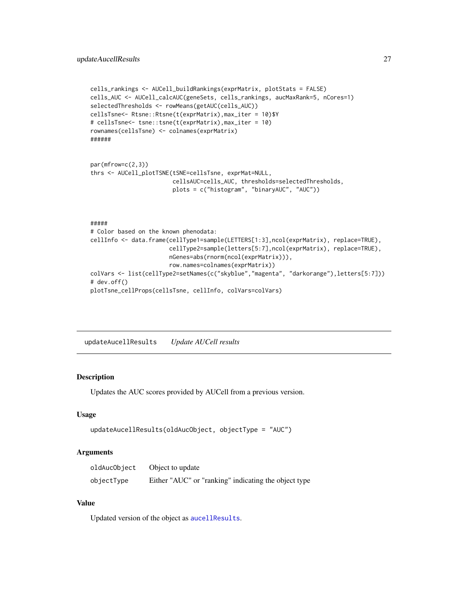```
cells_rankings <- AUCell_buildRankings(exprMatrix, plotStats = FALSE)
cells_AUC <- AUCell_calcAUC(geneSets, cells_rankings, aucMaxRank=5, nCores=1)
selectedThresholds <- rowMeans(getAUC(cells_AUC))
cellsTsne<- Rtsne::Rtsne(t(exprMatrix),max_iter = 10)$Y
# cellsTsne<- tsne::tsne(t(exprMatrix),max_iter = 10)
rownames(cellsTsne) <- colnames(exprMatrix)
######
par(mfrow=c(2,3))
thrs <- AUCell_plotTSNE(tSNE=cellsTsne, exprMat=NULL,
                        cellsAUC=cells_AUC, thresholds=selectedThresholds,
                        plots = c("histogram", "binaryAUC", "AUC"))
#####
# Color based on the known phenodata:
cellInfo <- data.frame(cellType1=sample(LETTERS[1:3],ncol(exprMatrix), replace=TRUE),
                       cellType2=sample(letters[5:7],ncol(exprMatrix), replace=TRUE),
                       nGenes=abs(rnorm(ncol(exprMatrix))),
                       row.names=colnames(exprMatrix))
colVars <- list(cellType2=setNames(c("skyblue","magenta", "darkorange"),letters[5:7]))
# dev.off()
plotTsne_cellProps(cellsTsne, cellInfo, colVars=colVars)
```

```
updateAucellResults Update AUCell results
```
#### Description

Updates the AUC scores provided by AUCell from a previous version.

#### Usage

```
updateAucellResults(oldAucObject, objectType = "AUC")
```
#### Arguments

| oldAucObject | Object to update                                     |
|--------------|------------------------------------------------------|
| objectType   | Either "AUC" or "ranking" indicating the object type |

#### Value

Updated version of the object as [aucellResults](#page-1-1).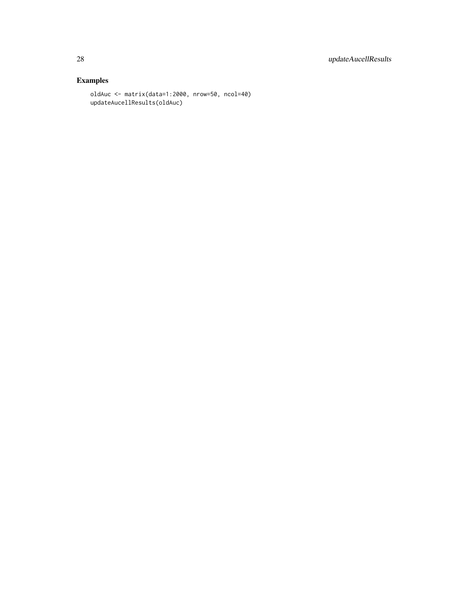```
oldAuc <- matrix(data=1:2000, nrow=50, ncol=40)
updateAucellResults(oldAuc)
```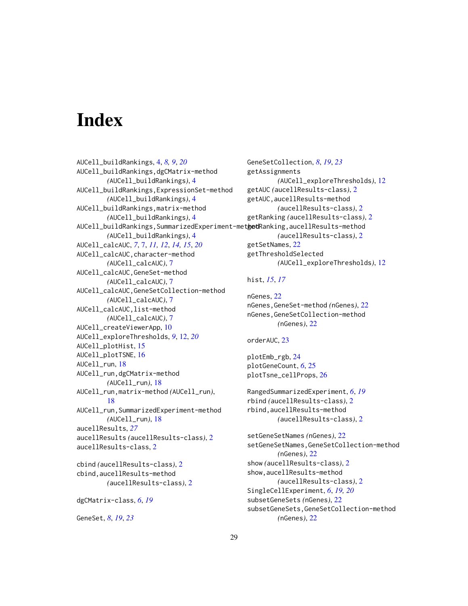# <span id="page-28-0"></span>**Index**

AUCell\_buildRankings, [4,](#page-3-0) *[8,](#page-7-0) [9](#page-8-0)*, *[20](#page-19-0)* AUCell\_buildRankings,dgCMatrix-method *(*AUCell\_buildRankings*)*, [4](#page-3-0) AUCell\_buildRankings,ExpressionSet-method *(*AUCell\_buildRankings*)*, [4](#page-3-0) AUCell\_buildRankings,matrix-method *(*AUCell\_buildRankings*)*, [4](#page-3-0) AUCell\_buildRankings,SummarizedExperiment-met<mark>get</mark>Ranking,aucellResults-method *(*AUCell\_buildRankings*)*, [4](#page-3-0) AUCell\_calcAUC, *[7](#page-6-0)*, [7,](#page-6-0) *[11,](#page-10-0) [12](#page-11-0)*, *[14,](#page-13-0) [15](#page-14-0)*, *[20](#page-19-0)* AUCell\_calcAUC,character-method *(*AUCell\_calcAUC*)*, [7](#page-6-0) AUCell\_calcAUC,GeneSet-method *(*AUCell\_calcAUC*)*, [7](#page-6-0) AUCell\_calcAUC,GeneSetCollection-method *(*AUCell\_calcAUC*)*, [7](#page-6-0) AUCell\_calcAUC,list-method *(*AUCell\_calcAUC*)*, [7](#page-6-0) AUCell\_createViewerApp, [10](#page-9-0) AUCell\_exploreThresholds, *[9](#page-8-0)*, [12,](#page-11-0) *[20](#page-19-0)* AUCell\_plotHist, [15](#page-14-0) AUCell\_plotTSNE, [16](#page-15-0) AUCell\_run, [18](#page-17-0) AUCell\_run,dgCMatrix-method *(*AUCell\_run*)*, [18](#page-17-0) AUCell\_run,matrix-method *(*AUCell\_run*)*, [18](#page-17-0) AUCell\_run,SummarizedExperiment-method *(*AUCell\_run*)*, [18](#page-17-0) aucellResults, *[27](#page-26-0)* aucellResults *(*aucellResults-class*)*, [2](#page-1-0) aucellResults-class, [2](#page-1-0) cbind *(*aucellResults-class*)*, [2](#page-1-0) cbind,aucellResults-method *(*aucellResults-class*)*, [2](#page-1-0)

```
dgCMatrix-class, 6, 19
```
GeneSet, *[8](#page-7-0)*, *[19](#page-18-0)*, *[23](#page-22-0)*

GeneSetCollection, *[8](#page-7-0)*, *[19](#page-18-0)*, *[23](#page-22-0)* getAssignments *(*AUCell\_exploreThresholds*)*, [12](#page-11-0) getAUC *(*aucellResults-class*)*, [2](#page-1-0) getAUC,aucellResults-method *(*aucellResults-class*)*, [2](#page-1-0) getRanking *(*aucellResults-class*)*, [2](#page-1-0) *(*aucellResults-class*)*, [2](#page-1-0) getSetNames, [22](#page-21-0) getThresholdSelected *(*AUCell\_exploreThresholds*)*, [12](#page-11-0)

## hist, *[15](#page-14-0)*, *[17](#page-16-0)*

nGenes, [22](#page-21-0) nGenes,GeneSet-method *(*nGenes*)*, [22](#page-21-0) nGenes,GeneSetCollection-method *(*nGenes*)*, [22](#page-21-0)

## orderAUC, [23](#page-22-0)

plotEmb\_rgb, [24](#page-23-0) plotGeneCount, *[6](#page-5-0)*, [25](#page-24-0) plotTsne\_cellProps, [26](#page-25-0)

RangedSummarizedExperiment, *[6](#page-5-0)*, *[19](#page-18-0)* rbind *(*aucellResults-class*)*, [2](#page-1-0) rbind,aucellResults-method *(*aucellResults-class*)*, [2](#page-1-0)

setGeneSetNames *(*nGenes*)*, [22](#page-21-0) setGeneSetNames,GeneSetCollection-method *(*nGenes*)*, [22](#page-21-0) show *(*aucellResults-class*)*, [2](#page-1-0) show,aucellResults-method *(*aucellResults-class*)*, [2](#page-1-0) SingleCellExperiment, *[6](#page-5-0)*, *[19,](#page-18-0) [20](#page-19-0)* subsetGeneSets *(*nGenes*)*, [22](#page-21-0) subsetGeneSets,GeneSetCollection-method *(*nGenes*)*, [22](#page-21-0)